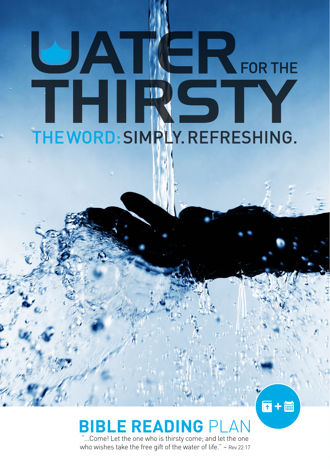# UATER FOR THE THIRSIY THE WORD: SIMPLY. REFRESHING.

#### **Bible Reading** Plan

 $\overline{\mathbf{n}}$  +  $\overline{\mathbb{m}}$ 

"...Come! Let the one who is thirsty come; and let the one who wishes take the free gift of the water of life." – Rev 22:17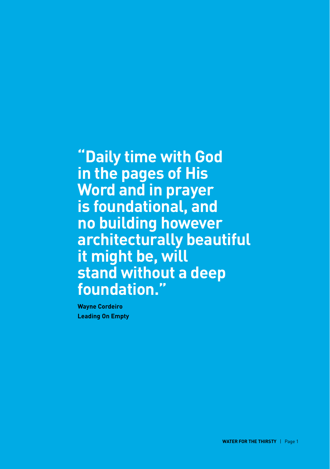**"Daily time with God in the pages of His Word and in prayer is foundational, and no building however architecturally beautiful it might be, will stand without a deep foundation."** 

**Wayne Cordeiro Leading On Empty**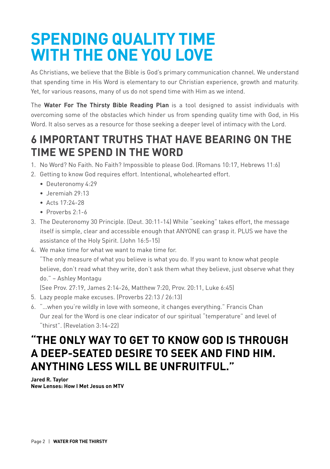#### **Spending Quality Time With The One You Love**

As Christians, we believe that the Bible is God's primary communication channel. We understand that spending time in His Word is elementary to our Christian experience, growth and maturity. Yet, for various reasons, many of us do not spend time with Him as we intend.

The **Water For The Thirsty Bible Reading Plan** is a tool designed to assist individuals with overcoming some of the obstacles which hinder us from spending quality time with God, in His Word. It also serves as a resource for those seeking a deeper level of intimacy with the Lord.

#### **6 important truths that have bearing on the time we spend in the Word**

- 1. No Word? No Faith. No Faith? Impossible to please God. (Romans 10:17, Hebrews 11:6)
- 2. Getting to know God requires effort. Intentional, wholehearted effort.
	- Deuteronomy 4:29
	- Jeremiah 29:13
	- Acts 17:24-28
	- Proverbs 2:1-6
- 3. The Deuteronomy 30 Principle. (Deut. 30:11-14) While "seeking" takes effort, the message itself is simple, clear and accessible enough that ANYONE can grasp it. PLUS we have the assistance of the Holy Spirit. (John 16:5-15)
- 4. We make time for what we want to make time for.

"The only measure of what you believe is what you do. If you want to know what people believe, don't read what they write, don't ask them what they believe, just observe what they do." – Ashley Montagu

(See Prov. 27:19, James 2:14-26, Matthew 7:20, Prov. 20:11, Luke 6:45)

- 5. Lazy people make excuses. (Proverbs 22:13 / 26:13)
- 6. "…when you're wildly in love with someone, it changes everything." Francis Chan Our zeal for the Word is one clear indicator of our spiritual "temperature" and level of "thirst". (Revelation 3:14-22)

#### **"The only way to get to know God is through a deep-seated desire to seek and find him. Anything less will be unfruitful."**

**Jared R. Taylor New Lenses: How I Met Jesus on MTV**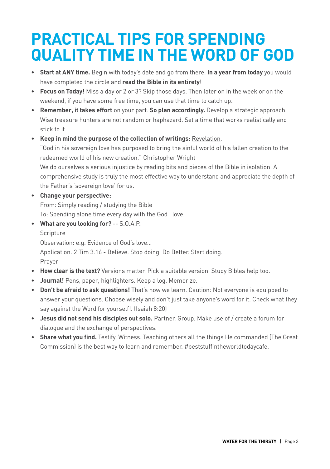#### **Practical Tips for spending quality time in the Word of God**

- **• Start at ANY time.** Begin with today's date and go from there. **In a year from today** you would have completed the circle and **read the Bible in its entirety**!
- **• Focus on Today!** Miss a day or 2 or 3? Skip those days. Then later on in the week or on the weekend, if you have some free time, you can use that time to catch up.
- **• Remember, it takes effort** on your part. **So plan accordingly.** Develop a strategic approach. Wise treasure hunters are not random or haphazard. Set a time that works realistically and stick to it.

**• Keep in mind the purpose of the collection of writings:** Revelation. "God in his sovereign love has purposed to bring the sinful world of his fallen creation to the redeemed world of his new creation." Christopher Wright We do ourselves a serious injustice by reading bits and pieces of the Bible in isolation. A comprehensive study is truly the most effective way to understand and appreciate the depth of the Father's 'sovereign love' for us.

- **• Change your perspective:** From: Simply reading / studying the Bible To: Spending alone time every day with the God I love.
- **• What are you looking for?** -- S.O.A.P. **Scripture** Observation: e.g. Evidence of God's love… Application: 2 Tim 3:16 - Believe. Stop doing. Do Better. Start doing. Prayer
- **• How clear is the text?** Versions matter. Pick a suitable version. Study Bibles help too.
- **• Journal!** Pens, paper, highlighters. Keep a log. Memorize.
- **• Don't be afraid to ask questions!** That's how we learn. Caution: Not everyone is equipped to answer your questions. Choose wisely and don't just take anyone's word for it. Check what they say against the Word for yourself!. (Isaiah 8:20)
- **• Jesus did not send his disciples out solo.** Partner. Group. Make use of / create a forum for dialogue and the exchange of perspectives.
- **• Share what you find.** Testify. Witness. Teaching others all the things He commanded (The Great Commission) is the best way to learn and remember. #beststuffintheworldtodaycafe.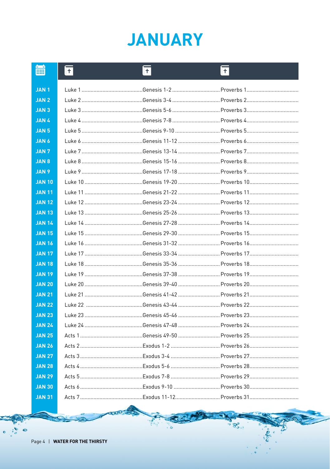#### **JANUARY**

| <b>HILL</b>      | $\overline{+}$ | $ \mathsf{F} $ | $\mathsf{H}$                                                         |
|------------------|----------------|----------------|----------------------------------------------------------------------|
| <b>JAN1</b>      |                |                |                                                                      |
| JAN <sub>2</sub> |                |                |                                                                      |
| <b>JAN3</b>      |                |                |                                                                      |
| <b>JAN4</b>      |                |                |                                                                      |
| <b>JAN 5</b>     |                |                |                                                                      |
| <b>JAN 6</b>     |                |                |                                                                      |
| <b>JAN7</b>      |                |                |                                                                      |
| <b>JAN 8</b>     |                |                |                                                                      |
| <b>JAN 9</b>     |                |                |                                                                      |
| <b>JAN 10</b>    |                |                |                                                                      |
| <b>JAN 11</b>    |                |                |                                                                      |
| <b>JAN 12</b>    |                |                |                                                                      |
| <b>JAN 13</b>    |                |                |                                                                      |
| <b>JAN 14</b>    |                |                |                                                                      |
| <b>JAN 15</b>    |                |                |                                                                      |
| <b>JAN 16</b>    |                |                |                                                                      |
| <b>JAN 17</b>    |                |                |                                                                      |
| <b>JAN 18</b>    |                |                |                                                                      |
| <b>JAN 19</b>    |                |                |                                                                      |
| <b>JAN 20</b>    |                |                |                                                                      |
| <b>JAN 21</b>    |                |                |                                                                      |
| <b>JAN 22</b>    |                |                |                                                                      |
| <b>JAN 23</b>    |                |                |                                                                      |
| <b>JAN 24</b>    |                |                |                                                                      |
| <b>JAN 25</b>    |                |                |                                                                      |
| <b>JAN 26</b>    |                |                |                                                                      |
| <b>JAN 27</b>    |                |                | Acts 3………………………………………Exodus 3-4 …………………………………Proverbs 27……………………………… |
| <b>JAN 28</b>    |                |                |                                                                      |
| <b>JAN 29</b>    |                |                |                                                                      |
| <b>JAN 30</b>    |                |                |                                                                      |
| <b>JAN 31</b>    |                |                |                                                                      |

ႜၜၜၞၜႜ

ò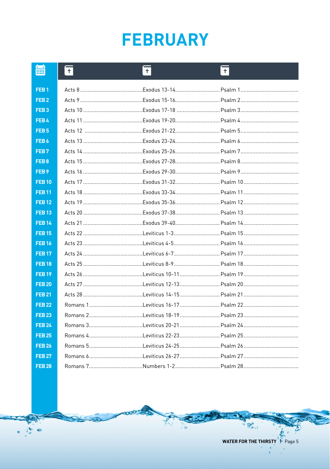## **FEBRUARY**

| 篇                | $ \overline{+} $ | F | ĪŦ                                                                   |
|------------------|------------------|---|----------------------------------------------------------------------|
| FEB <sub>1</sub> |                  |   |                                                                      |
| FEB <sub>2</sub> |                  |   |                                                                      |
| FEB <sub>3</sub> |                  |   | Acts 10 ……………………………………Exodus 17-18 ………………………………Psalm 3…………………………………… |
| FEB4             |                  |   |                                                                      |
| FEB <sub>5</sub> |                  |   |                                                                      |
| FEB <sub>6</sub> |                  |   |                                                                      |
| FEB <sub>7</sub> |                  |   |                                                                      |
| FEB <sub>8</sub> |                  |   |                                                                      |
| FEB <sub>9</sub> |                  |   |                                                                      |
| <b>FEB10</b>     |                  |   | Acts 17 ……………………………………Exodus 31-32…………………………………Psalm 10………………………………… |
| <b>FEB11</b>     |                  |   |                                                                      |
| <b>FEB12</b>     |                  |   |                                                                      |
| <b>FEB13</b>     |                  |   | Acts 20 ……………………………………Exodus 37-38………………………………Psalm 13…………………………………  |
| <b>FEB 14</b>    |                  |   |                                                                      |
| <b>FEB15</b>     |                  |   |                                                                      |
| <b>FEB16</b>     |                  |   |                                                                      |
| <b>FEB 17</b>    |                  |   |                                                                      |
| <b>FEB18</b>     |                  |   |                                                                      |
| <b>FEB19</b>     |                  |   |                                                                      |
| <b>FEB 20</b>    |                  |   | Acts 27 …………………………………Leviticus 12-13…………………………Psalm 20…………………………………  |
| <b>FEB 21</b>    |                  |   | Acts 28 …………………………………Leviticus 14-15…………………………Psalm 21…………………………………  |
| <b>FEB 22</b>    |                  |   |                                                                      |
| <b>FEB 23</b>    |                  |   |                                                                      |
| <b>FEB 24</b>    |                  |   |                                                                      |
| <b>FEB 25</b>    |                  |   |                                                                      |
| <b>FEB 26</b>    |                  |   |                                                                      |
| <b>FEB 27</b>    |                  |   |                                                                      |
| <b>FEB 28</b>    |                  |   |                                                                      |

WATER FOR THE THIRSTY F Page 5

 $\overline{c}$ 

ಕ್ತಿ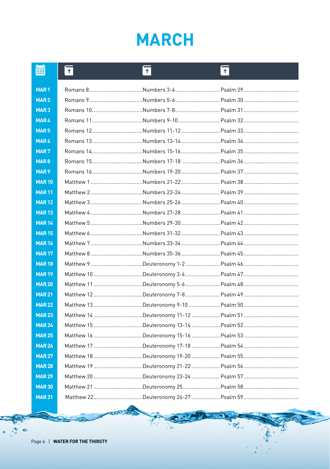# **MARCH**

| ■                | $\overline{\mathbb{F}}$ | IŦ. | ĪŦ |
|------------------|-------------------------|-----|----|
| MAR <sub>1</sub> |                         |     |    |
| MAR <sub>2</sub> |                         |     |    |
| MAR <sub>3</sub> |                         |     |    |
| <b>MAR4</b>      |                         |     |    |
| MAR <sub>5</sub> |                         |     |    |
| MAR6             |                         |     |    |
| MAR <sub>7</sub> |                         |     |    |
| MAR <sub>8</sub> |                         |     |    |
| MAR <sub>9</sub> |                         |     |    |
| <b>MAR10</b>     |                         |     |    |
| <b>MAR11</b>     |                         |     |    |
| <b>MAR12</b>     |                         |     |    |
| <b>MAR13</b>     |                         |     |    |
| <b>MAR14</b>     |                         |     |    |
| <b>MAR15</b>     |                         |     |    |
| <b>MAR16</b>     |                         |     |    |
| <b>MAR17</b>     |                         |     |    |
| <b>MAR18</b>     |                         |     |    |
| <b>MAR19</b>     |                         |     |    |
| <b>MAR 20</b>    |                         |     |    |
| <b>MAR21</b>     |                         |     |    |
| <b>MAR22</b>     |                         |     |    |
| <b>MAR23</b>     |                         |     |    |
| <b>MAR 24</b>    |                         |     |    |
| <b>MAR25</b>     |                         |     |    |
| <b>MAR 26</b>    |                         |     |    |
| <b>MAR 27</b>    |                         |     |    |
| <b>MAR28</b>     |                         |     |    |
| <b>MAR29</b>     |                         |     |    |
| <b>MAR 30</b>    |                         |     |    |
| <b>MAR 31</b>    |                         |     |    |

ႜၜၜၞၜၟၜ

 $\bullet$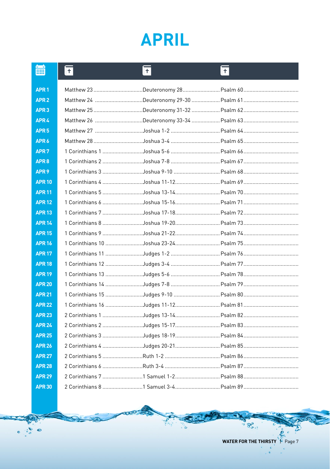#### **APRIL**

| 篇                | ĪŦ | $\overline{\mathbf{H}}$ | $ \mathbf{f} $ |
|------------------|----|-------------------------|----------------|
| APR <sub>1</sub> |    |                         |                |
| APR <sub>2</sub> |    |                         |                |
| APR <sub>3</sub> |    |                         |                |
| APR <sub>4</sub> |    |                         |                |
| APR <sub>5</sub> |    |                         |                |
| APR <sub>6</sub> |    |                         |                |
| APR <sub>7</sub> |    |                         |                |
| APR <sub>8</sub> |    |                         |                |
| APR <sub>9</sub> |    |                         |                |
| <b>APR 10</b>    |    |                         |                |
| <b>APR 11</b>    |    |                         |                |
| <b>APR 12</b>    |    |                         |                |
| <b>APR 13</b>    |    |                         |                |
| <b>APR 14</b>    |    |                         |                |
| <b>APR 15</b>    |    |                         |                |
| <b>APR 16</b>    |    |                         |                |
| <b>APR 17</b>    |    |                         |                |
| <b>APR 18</b>    |    |                         |                |
| <b>APR 19</b>    |    |                         |                |
| <b>APR 20</b>    |    |                         |                |
| <b>APR 21</b>    |    |                         |                |
| <b>APR 22</b>    |    |                         |                |
| <b>APR 23</b>    |    |                         |                |
| <b>APR 24</b>    |    |                         |                |
| <b>APR 25</b>    |    |                         |                |
| <b>APR 26</b>    |    |                         |                |
| <b>APR 27</b>    |    |                         |                |
| <b>APR 28</b>    |    |                         |                |
| <b>APR 29</b>    |    |                         |                |
| <b>APR 30</b>    |    |                         |                |

E

 $\bullet$ 

 $\bullet$ 

WATER FOR THE THIRSTY

 $\overline{c}$ 

 $\mathcal{B}_{0}^{(n)}$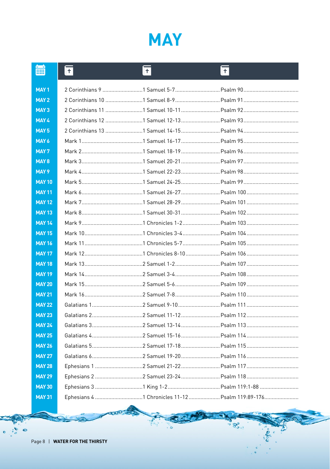

| <b>HH</b>        | $\overline{+}$ | $\overline{\mathbf{H}}$ | ĪŦ |
|------------------|----------------|-------------------------|----|
| MAY <sub>1</sub> |                |                         |    |
| MAY <sub>2</sub> |                |                         |    |
| MAY <sub>3</sub> |                |                         |    |
| MAY 4            |                |                         |    |
| MAY <sub>5</sub> |                |                         |    |
| MAY 6            |                |                         |    |
| MAY <sub>7</sub> |                |                         |    |
| MAY <sub>8</sub> |                |                         |    |
| MAY <sub>9</sub> |                |                         |    |
| <b>MAY 10</b>    |                |                         |    |
| <b>MAY 11</b>    |                |                         |    |
| <b>MAY 12</b>    |                |                         |    |
| <b>MAY 13</b>    |                |                         |    |
| <b>MAY 14</b>    |                |                         |    |
| <b>MAY 15</b>    |                |                         |    |
| <b>MAY 16</b>    |                |                         |    |
| <b>MAY 17</b>    |                |                         |    |
| <b>MAY 18</b>    |                |                         |    |
| <b>MAY 19</b>    |                |                         |    |
| <b>MAY 20</b>    |                |                         |    |
| <b>MAY 21</b>    |                |                         |    |
| <b>MAY 22</b>    |                |                         |    |
| <b>MAY 23</b>    |                |                         |    |
| <b>MAY 24</b>    |                |                         |    |
| <b>MAY 25</b>    |                |                         |    |
| <b>MAY 26</b>    |                |                         |    |
| <b>MAY 27</b>    |                |                         |    |
| <b>MAY 28</b>    |                |                         |    |
| <b>MAY 29</b>    |                |                         |    |
| <b>MAY 30</b>    |                |                         |    |
| <b>MAY 31</b>    |                |                         |    |

эd

P.,

ಿ ಅತಿಲಿ ಅ

 $\bullet$   $\bullet$ 

 $\ddot{\bullet}$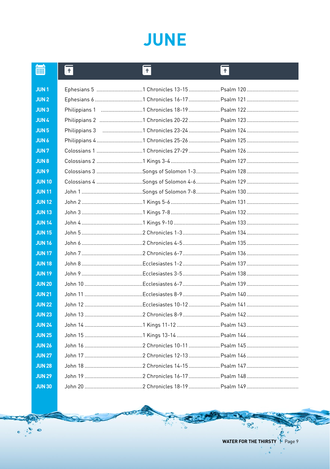#### **JUNE**

| 篇             | $ \mathsf{f} $ | $ \overline{+} $ | ۱Ŧ |
|---------------|----------------|------------------|----|
| <b>JUN1</b>   |                |                  |    |
| <b>JUN2</b>   |                |                  |    |
| <b>JUN3</b>   |                |                  |    |
| <b>JUN4</b>   |                |                  |    |
| <b>JUN5</b>   |                |                  |    |
| <b>JUN 6</b>  |                |                  |    |
| <b>JUN7</b>   |                |                  |    |
| <b>JUN 8</b>  |                |                  |    |
| <b>JUN9</b>   |                |                  |    |
| <b>JUN10</b>  |                |                  |    |
| <b>JUN11</b>  |                |                  |    |
| <b>JUN12</b>  |                |                  |    |
| <b>JUN 13</b> |                |                  |    |
| <b>JUN14</b>  |                |                  |    |
| <b>JUN 15</b> |                |                  |    |
| <b>JUN16</b>  |                |                  |    |
| <b>JUN 17</b> |                |                  |    |
| <b>JUN 18</b> |                |                  |    |
| <b>JUN 19</b> |                |                  |    |
| <b>JUN 20</b> |                |                  |    |
| <b>JUN 21</b> |                |                  |    |
| <b>JUN 22</b> |                |                  |    |
| <b>JUN 23</b> |                |                  |    |
| <b>JUN 24</b> |                |                  |    |
| <b>JUN 25</b> |                |                  |    |
| <b>JUN 26</b> |                |                  |    |
| <b>JUN 27</b> |                |                  |    |
| <b>JUN 28</b> |                |                  |    |
| <b>JUN 29</b> |                |                  |    |
| <b>JUN 30</b> |                |                  |    |

R

 $\bullet$ 

 $\bullet$ 

 $\overline{c}$ 

 $\mathcal{B}_{0}^{0}$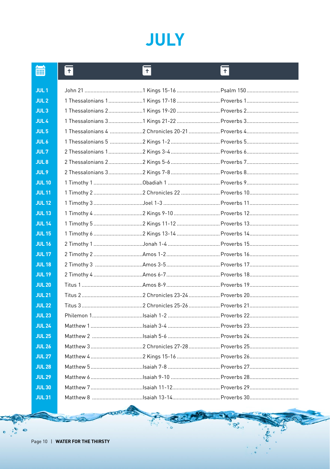## **JULY**

| 篇                | ΙŦ | F | ΙŦ                                       |
|------------------|----|---|------------------------------------------|
| JUL <sub>1</sub> |    |   |                                          |
| JUL <sub>2</sub> |    |   |                                          |
| JUL <sub>3</sub> |    |   |                                          |
| JUL <sub>4</sub> |    |   |                                          |
| JUL <sub>5</sub> |    |   |                                          |
| JUL <sub>6</sub> |    |   |                                          |
| JUL <sub>7</sub> |    |   |                                          |
| JUL <sub>8</sub> |    |   | 2 Thessalonians 22 Kings 5-6  Proverbs 7 |
| JUL <sub>9</sub> |    |   |                                          |
| <b>JUL10</b>     |    |   |                                          |
| <b>JUL11</b>     |    |   |                                          |
| <b>JUL12</b>     |    |   |                                          |
| <b>JUL13</b>     |    |   |                                          |
| <b>JUL 14</b>    |    |   |                                          |
| <b>JUL 15</b>    |    |   |                                          |
| <b>JUL 16</b>    |    |   |                                          |
| <b>JUL 17</b>    |    |   |                                          |
| <b>JUL 18</b>    |    |   |                                          |
| <b>JUL 19</b>    |    |   |                                          |
| <b>JUL 20</b>    |    |   |                                          |
| <b>JUL 21</b>    |    |   |                                          |
| <b>JUL 22</b>    |    |   |                                          |
| <b>JUL 23</b>    |    |   |                                          |
| <b>JUL 24</b>    |    |   |                                          |
| <b>JUL 25</b>    |    |   |                                          |
| <b>JUL 26</b>    |    |   |                                          |
| <b>JUL 27</b>    |    |   |                                          |
| <b>JUL 28</b>    |    |   |                                          |
| <b>JUL 29</b>    |    |   |                                          |
| <b>JUL 30</b>    |    |   | Matthew 7 Isaiah 11-12  Proverbs 29      |
| <b>JUL31</b>     |    |   |                                          |

⊣

ingere

 $\bullet$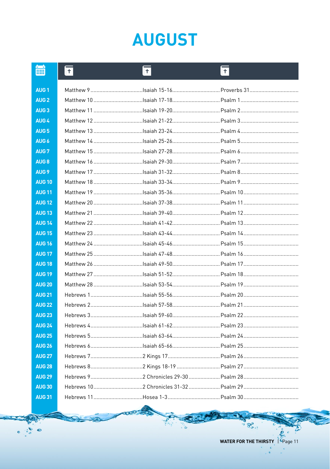## **AUGUST**

| <b>HHI</b>        | $\vert$ + | $ \mathsf{+} $ | ⊪+⊦                                 |
|-------------------|-----------|----------------|-------------------------------------|
| <b>AUG1</b>       |           |                | Matthew 9 Isaiah 15-16  Proverbs 31 |
| AUG <sub>2</sub>  |           |                |                                     |
| AUG <sub>3</sub>  |           |                |                                     |
| AUG <sub>4</sub>  |           |                |                                     |
| AUG <sub>5</sub>  |           |                |                                     |
| AUG <sub>6</sub>  |           |                |                                     |
| AUG <sub>7</sub>  |           |                |                                     |
| AUG <sub>8</sub>  |           |                |                                     |
| AUG <sub>9</sub>  |           |                |                                     |
| <b>AUG 10</b>     |           |                |                                     |
| <b>AUG 11</b>     |           |                |                                     |
| <b>AUG 12</b>     |           |                |                                     |
| <b>AUG 13</b>     |           |                |                                     |
| <b>AUG 14</b>     |           |                |                                     |
| <b>AUG 15</b>     |           |                |                                     |
| <b>AUG 16</b>     |           |                |                                     |
| <b>AUG 17</b>     |           |                |                                     |
| <b>AUG 18</b>     |           |                |                                     |
| <b>AUG 19</b>     |           |                |                                     |
| <b>AUG 20</b>     |           |                |                                     |
| <b>AUG 21</b>     |           |                |                                     |
| <b>AUG 22</b>     |           |                |                                     |
| <b>AUG 23</b>     |           |                |                                     |
| <b>AUG 24</b>     |           |                |                                     |
| <b>AUG 25</b>     |           |                |                                     |
| <b>AUG 26</b>     |           |                |                                     |
| <b>AUG 27</b>     |           |                |                                     |
| <b>AUG 28</b>     |           |                |                                     |
| <b>AUG 29</b>     |           |                |                                     |
| <b>AUG 30</b>     |           |                |                                     |
| AUG <sub>31</sub> |           |                |                                     |

3

 $\overline{a}$ 

 $\mathcal{B}_{\mathbf{0},\mathbf{0}}^{\mathbf{0}}$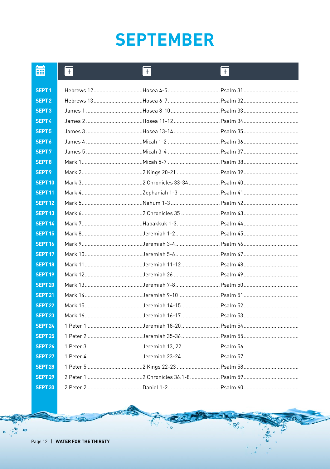## **SEPTEMBER**

| <b>HH</b>          | ll+ | 圧 | ĪŦ |
|--------------------|-----|---|----|
| SEPT <sub>1</sub>  |     |   |    |
| <b>SEPT 2</b>      |     |   |    |
| SEPT <sub>3</sub>  |     |   |    |
| <b>SEPT 4</b>      |     |   |    |
| <b>SEPT 5</b>      |     |   |    |
| SEPT <sub>6</sub>  |     |   |    |
| SEPT <sub>7</sub>  |     |   |    |
| <b>SEPT8</b>       |     |   |    |
| SEPT <sub>9</sub>  |     |   |    |
| <b>SEPT 10</b>     |     |   |    |
| <b>SEPT 11</b>     |     |   |    |
| <b>SEPT 12</b>     |     |   |    |
| <b>SEPT 13</b>     |     |   |    |
| <b>SEPT 14</b>     |     |   |    |
| <b>SEPT 15</b>     |     |   |    |
| <b>SEPT 16</b>     |     |   |    |
| <b>SEPT 17</b>     |     |   |    |
| <b>SEPT 18</b>     |     |   |    |
| <b>SEPT 19</b>     |     |   |    |
| <b>SEPT 20</b>     |     |   |    |
| <b>SEPT 21</b>     |     |   |    |
| <b>SEPT 22</b>     |     |   |    |
| <b>SEPT 23</b>     |     |   |    |
| <b>SEPT 24</b>     |     |   |    |
| <b>SEPT 25</b>     |     |   |    |
| <b>SEPT 26</b>     |     |   |    |
| <b>SEPT 27</b>     |     |   |    |
| <b>SEPT 28</b>     |     |   |    |
| <b>SEPT 29</b>     |     |   |    |
| SEPT <sub>30</sub> |     |   |    |

ႜႜႜႜႜႜၟၜၟၜ

 $\bullet$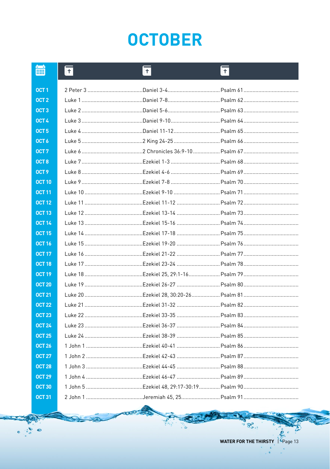## **OCTOBER**

| m                | ll+. | $ \mathbf{t} $ | IŦ.                                                                   |
|------------------|------|----------------|-----------------------------------------------------------------------|
| OCT <sub>1</sub> |      |                |                                                                       |
| OCT <sub>2</sub> |      |                |                                                                       |
| OCT <sub>3</sub> |      |                |                                                                       |
| OCT 4            |      |                |                                                                       |
| OCT <sub>5</sub> |      |                |                                                                       |
| OCT <sub>6</sub> |      |                |                                                                       |
| OCT <sub>7</sub> |      |                |                                                                       |
| OCT <sub>8</sub> |      |                |                                                                       |
| OCT <sub>9</sub> |      |                |                                                                       |
| <b>OCT 10</b>    |      |                |                                                                       |
| <b>OCT 11</b>    |      |                |                                                                       |
| <b>OCT 12</b>    |      |                |                                                                       |
| <b>OCT 13</b>    |      |                |                                                                       |
| <b>OCT 14</b>    |      |                |                                                                       |
| <b>OCT 15</b>    |      |                |                                                                       |
| <b>OCT 16</b>    |      |                |                                                                       |
| <b>OCT 17</b>    |      |                |                                                                       |
| <b>OCT 18</b>    |      |                |                                                                       |
| <b>OCT 19</b>    |      |                |                                                                       |
| <b>OCT 20</b>    |      |                |                                                                       |
| <b>OCT 21</b>    |      |                |                                                                       |
| <b>OCT 22</b>    |      |                |                                                                       |
| <b>OCT 23</b>    |      |                |                                                                       |
| <b>OCT 24</b>    |      |                |                                                                       |
| <b>OCT 25</b>    |      |                |                                                                       |
| <b>OCT 26</b>    |      |                | 1 John 1 ……………………………………Ezekiel 40-41 ……………………………Psalm 86………………………………… |
| <b>OCT 27</b>    |      |                |                                                                       |
| <b>OCT 28</b>    |      |                |                                                                       |
| <b>OCT 29</b>    |      |                |                                                                       |
| <b>OCT 30</b>    |      |                |                                                                       |
| <b>OCT 31</b>    |      |                |                                                                       |

3

WATER FOR THE THIRSTY

 $\overline{a}$ 

 $\mathcal{B}_{\mathbf{0},\mathbf{0}}^{\mathbf{0}}$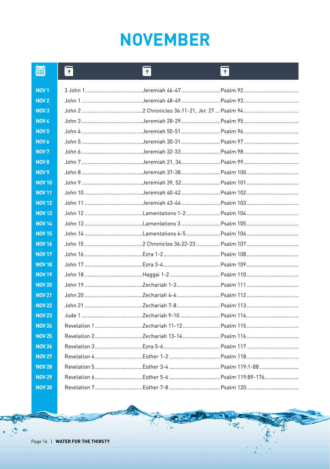### **NOVEMBER**

|                  | ll+ | $+$ | ll+                                                                   |
|------------------|-----|-----|-----------------------------------------------------------------------|
| NOV <sub>1</sub> |     |     |                                                                       |
| <b>NOV 2</b>     |     |     |                                                                       |
| <b>NOV3</b>      |     |     |                                                                       |
| <b>NOV 4</b>     |     |     | John 3 ……………………………………Jeremiah 28-29 …………………………Psalm 95 …………………………………  |
| NOV <sub>5</sub> |     |     |                                                                       |
| NOV <sub>6</sub> |     |     |                                                                       |
| <b>NOV7</b>      |     |     | John 6 ……………………………………Jeremiah 32-33 …………………………Psalm 98 …………………………………  |
| NOV <sub>8</sub> |     |     |                                                                       |
| <b>NOV 9</b>     |     |     | John 8 ……………………………………Jeremiah 37-38 …………………………Psalm 100 ………………………………… |
| <b>NOV 10</b>    |     |     |                                                                       |
| <b>NOV 11</b>    |     |     |                                                                       |
| <b>NOV 12</b>    |     |     |                                                                       |
| <b>NOV 13</b>    |     |     |                                                                       |
| <b>NOV 14</b>    |     |     |                                                                       |
| <b>NOV 15</b>    |     |     |                                                                       |
|                  |     |     |                                                                       |
| <b>NOV 16</b>    |     |     |                                                                       |
| <b>NOV 17</b>    |     |     |                                                                       |
| <b>NOV 18</b>    |     |     |                                                                       |
| <b>NOV 19</b>    |     |     |                                                                       |
| <b>NOV 20</b>    |     |     |                                                                       |
| <b>NOV 21</b>    |     |     |                                                                       |
| <b>NOV 22</b>    |     |     |                                                                       |
| <b>NOV 23</b>    |     |     | Jude 1 ……………………………………Zechariah 9-10……………………………Psalm 114………………………………   |
| <b>NOV 24</b>    |     |     |                                                                       |
| <b>NOV 25</b>    |     |     |                                                                       |
| <b>NOV 26</b>    |     |     |                                                                       |
| <b>NOV 27</b>    |     |     |                                                                       |
| <b>NOV 28</b>    |     |     |                                                                       |
| <b>NOV 29</b>    |     |     |                                                                       |

ႜႜႜႜႜၟၜၟၜႋ

ò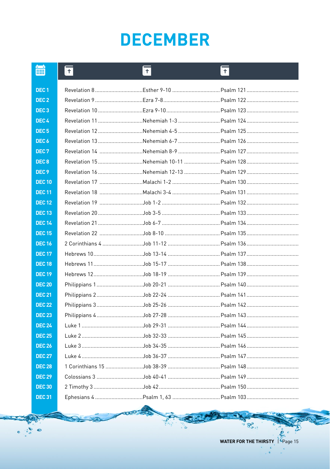### **DECEMBER**

| m                | ∥+∣ | $\pm$ | ∥+ |
|------------------|-----|-------|----|
| DEC <sub>1</sub> |     |       |    |
| DEC <sub>2</sub> |     |       |    |
| DEC <sub>3</sub> |     |       |    |
| DEC <sub>4</sub> |     |       |    |
| DEC <sub>5</sub> |     |       |    |
| DEC <sub>6</sub> |     |       |    |
| DEC <sub>7</sub> |     |       |    |
| DEC <sub>8</sub> |     |       |    |
| DEC <sub>9</sub> |     |       |    |
| <b>DEC 10</b>    |     |       |    |
| <b>DEC 11</b>    |     |       |    |
| <b>DEC 12</b>    |     |       |    |
| <b>DEC13</b>     |     |       |    |
| <b>DEC 14</b>    |     |       |    |
| <b>DEC 15</b>    |     |       |    |
| <b>DEC16</b>     |     |       |    |
| <b>DEC 17</b>    |     |       |    |
| <b>DEC 18</b>    |     |       |    |
| <b>DEC 19</b>    |     |       |    |
| <b>DEC 20</b>    |     |       |    |
| <b>DEC 21</b>    |     |       |    |
| <b>DEC 22</b>    |     |       |    |
| <b>DEC 23</b>    |     |       |    |
| <b>DEC 24</b>    |     |       |    |
| <b>DEC 25</b>    |     |       |    |
| <b>DEC 26</b>    |     |       |    |
| <b>DEC 27</b>    |     |       |    |
| <b>DEC 28</b>    |     |       |    |
| <b>DEC 29</b>    |     |       |    |
| <b>DEC 30</b>    |     |       |    |
| <b>DEC 31</b>    |     |       |    |

੨

ಕ್ತಿ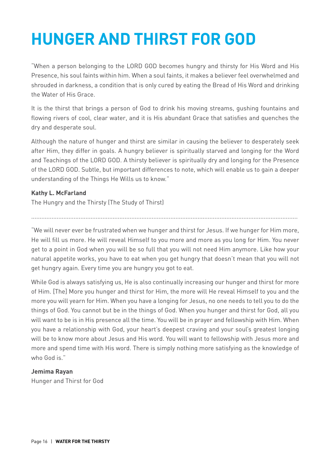#### **Hunger and Thirst for God**

"When a person belonging to the LORD GOD becomes hungry and thirsty for His Word and His Presence, his soul faints within him. When a soul faints, it makes a believer feel overwhelmed and shrouded in darkness, a condition that is only cured by eating the Bread of His Word and drinking the Water of His Grace.

It is the thirst that brings a person of God to drink his moving streams, gushing fountains and flowing rivers of cool, clear water, and it is His abundant Grace that satisfies and quenches the dry and desperate soul.

Although the nature of hunger and thirst are similar in causing the believer to desperately seek after Him, they differ in goals. A hungry believer is spiritually starved and longing for the Word and Teachings of the LORD GOD. A thirsty believer is spiritually dry and longing for the Presence of the LORD GOD. Subtle, but important differences to note, which will enable us to gain a deeper understanding of the Things He Wills us to know."

#### **Kathy L. McFarland**

The Hungry and the Thirsty (The Study of Thirst)

"We will never ever be frustrated when we hunger and thirst for Jesus. If we hunger for Him more, He will fill us more. He will reveal Himself to you more and more as you long for Him. You never get to a point in God when you will be so full that you will not need Him anymore. Like how your natural appetite works, you have to eat when you get hungry that doesn't mean that you will not get hungry again. Every time you are hungry you got to eat.

.............................................................................................................................................................

While God is always satisfying us, He is also continually increasing our hunger and thirst for more of Him. [The] More you hunger and thirst for Him, the more will He reveal Himself to you and the more you will yearn for Him. When you have a longing for Jesus, no one needs to tell you to do the things of God. You cannot but be in the things of God. When you hunger and thirst for God, all you will want to be is in His presence all the time. You will be in prayer and fellowship with Him. When you have a relationship with God, your heart's deepest craving and your soul's greatest longing will be to know more about Jesus and His word. You will want to fellowship with Jesus more and more and spend time with His word. There is simply nothing more satisfying as the knowledge of who God is."

#### **Jemima Rayan**

Hunger and Thirst for God